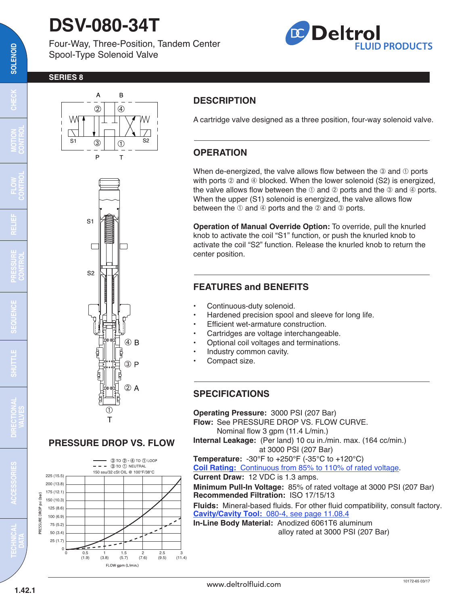## **DSV-080-34T**

Four-Way, Three-Position, Tandem Center Spool-Type Solenoid Valve



#### **SERIES 8**



**DESCRIPTION**

A cartridge valve designed as a three position, four-way solenoid valve.

### **OPERATION**

When de-energized, the valve allows flow between the  $\circledast$  and  $\circledast$  ports with ports  $@$  and  $@$  blocked. When the lower solenoid (S2) is energized, the valve allows flow between the  $\mathbb O$  and  $\mathbb Q$  ports and the  $\mathbb Q$  and  $\mathbb Q$  ports. When the upper (S1) solenoid is energized, the valve allows flow between the  $\odot$  and  $\odot$  ports and the  $\odot$  and  $\odot$  ports.

**Operation of Manual Override Option:** To override, pull the knurled knob to activate the coil "S1" function, or push the knurled knob to activate the coil "S2" function. Release the knurled knob to return the center position.

### **FEATURES and BENEFITS**

- Continuous-duty solenoid.
- Hardened precision spool and sleeve for long life.
- Efficient wet-armature construction.
- Cartridges are voltage interchangeable.
- Optional coil voltages and terminations.
- Industry common cavity.
- Compact size.

#### **SPECIFICATIONS**

**Operating Pressure:** 3000 PSI (207 Bar) **Flow:** See PRESSURE DROP VS. FLOW CURVE. Nominal flow 3 gpm (11.4 L/min.) **Internal Leakage:** (Per land) 10 cu in./min. max. (164 cc/min.) at 3000 PSI (207 Bar) **Temperature:** -30°F to +250°F (-35°C to +120°C) **Coil Rating:** [Continuous from 85% to 110% of rated voltage.](http://www.deltrolfluid.com/sites/default/files/cartridge/Series-8%20Coils_Complete.pdf) **Current Draw:** 12 VDC is 1.3 amps. **Minimum Pull-In Voltage:** 85% of rated voltage at 3000 PSI (207 Bar) **Recommended Filtration:** ISO 17/15/13 **Fluids:** Mineral-based fluids. For other fluid compatibility, consult factory. **Cavity/Cavity Tool:** [080-4, see page 11.08.4](http://www.deltrolfluid.com/sites/default/files/cartridge/080-4_Cavity.pdf) **In-Line Body Material:** Anodized 6061T6 aluminum alloy rated at 3000 PSI (207 Bar)







**RELIEF**

**SOLENOID**

SOLENOID

**CHECK**

**MOTION**

**TECHNICAL DATA**

**ACCESSORIES**